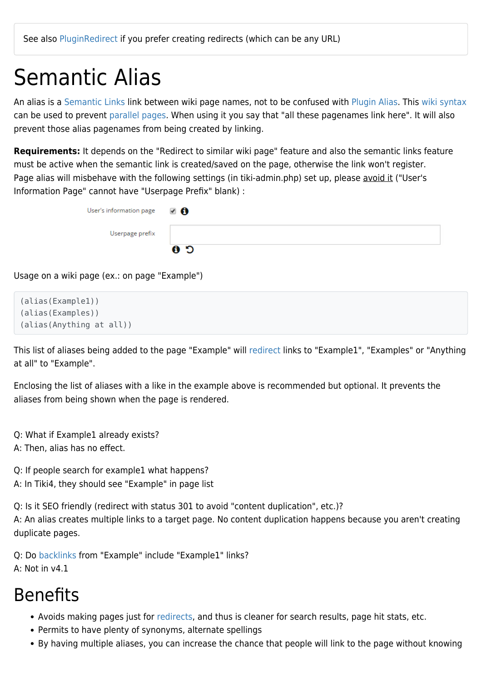### Semantic Alias

An alias is a [Semantic Links](https://doc.tiki.org/Semantic-Links) link between wiki page names, not to be confused with [Plugin Alias](https://doc.tiki.org/Plugin-Alias). This [wiki syntax](https://doc.tiki.org/Wiki-Syntax) can be used to prevent [parallel pages](https://doc.tiki.org/parallel-pages). When using it you say that "all these pagenames link here". It will also prevent those alias pagenames from being created by linking.

**Requirements:** It depends on the "Redirect to similar wiki page" feature and also the semantic links feature must be active when the semantic link is created/saved on the page, otherwise the link won't register. Page alias will misbehave with the following settings (in tiki-admin.php) set up, please avoid it ("User's Information Page" cannot have "Userpage Prefix" blank) :

| User's information page | 7 € |
|-------------------------|-----|
| Userpage prefix         |     |
|                         | C O |

Usage on a wiki page (ex.: on page "Example")

```
(alias(Example1))
(alias(Examples))
(alias(Anything at all))
```
This list of aliases being added to the page "Example" will [redirect](https://doc.tiki.org/redirect) links to "Example1", "Examples" or "Anything at all" to "Example".

Enclosing the list of aliases with a like in the example above is recommended but optional. It prevents the aliases from being shown when the page is rendered.

Q: What if Example1 already exists?

A: Then, alias has no effect.

Q: If people search for example1 what happens? A: In Tiki4, they should see "Example" in page list

Q: Is it SEO friendly (redirect with status 301 to avoid "content duplication", etc.)? A: An alias creates multiple links to a target page. No content duplication happens because you aren't creating duplicate pages.

Q: Do [backlinks](https://doc.tiki.org/backlinks) from "Example" include "Example1" links? A: Not in v4.1

#### Benefits

- Avoids making pages just for [redirects,](https://doc.tiki.org/redirects) and thus is cleaner for search results, page hit stats, etc.
- Permits to have plenty of synonyms, alternate spellings
- By having multiple aliases, you can increase the chance that people will link to the page without knowing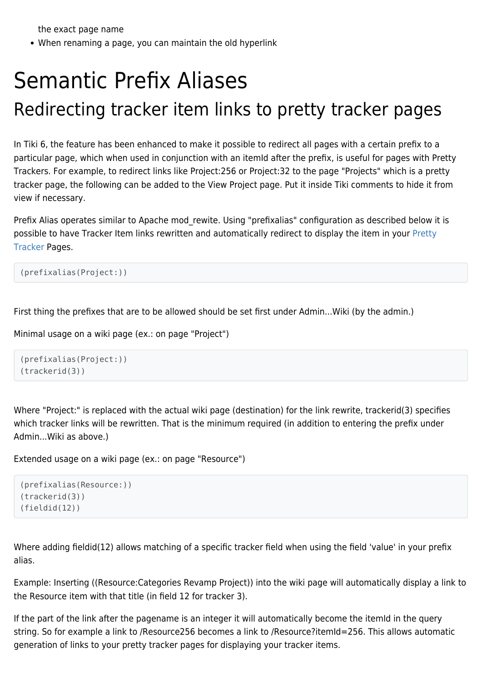the exact page name

When renaming a page, you can maintain the old hyperlink

## Semantic Prefix Aliases Redirecting tracker item links to pretty tracker pages

In Tiki 6, the feature has been enhanced to make it possible to redirect all pages with a certain prefix to a particular page, which when used in conjunction with an itemId after the prefix, is useful for pages with Pretty Trackers. For example, to redirect links like [Project:256](https://doc.tiki.org/tiki-editpage.php?page=Project%3A256) or [Project:32](https://doc.tiki.org/tiki-editpage.php?page=Project%3A32) to the page "Projects" which is a pretty tracker page, the following can be added to the View Project page. Put it inside Tiki comments to hide it from view if necessary.

Prefix Alias operates similar to Apache mod rewite. Using "prefixalias" configuration as described below it is possible to have Tracker Item links rewritten and automatically redirect to display the item in your [Pretty](https://doc.tiki.org/Pretty-Tracker-2) [Tracker](https://doc.tiki.org/Pretty-Tracker-2) Pages.

(prefixalias(Project:))

First thing the prefixes that are to be allowed should be set first under Admin...Wiki (by the admin.)

Minimal usage on a wiki page (ex.: on page "Project")

```
(prefixalias(Project:))
(trackerid(3))
```
Where "Project:" is replaced with the actual wiki page (destination) for the link rewrite, trackerid(3) specifies which tracker links will be rewritten. That is the minimum required (in addition to entering the prefix under Admin...Wiki as above.)

Extended usage on a wiki page (ex.: on page "Resource")

```
(prefixalias(Resource:))
(trackerid(3))
(fieldid(12))
```
Where adding fieldid(12) allows matching of a specific tracker field when using the field 'value' in your prefix alias.

Example: Inserting ((Resource:Categories Revamp Project)) into the wiki page will automatically display a link to the Resource item with that title (in field 12 for tracker 3).

If the part of the link after the pagename is an integer it will automatically become the itemId in the query string. So for example a link to /Resource256 becomes a link to /Resource?itemId=256. This allows automatic generation of links to your pretty tracker pages for displaying your tracker items.